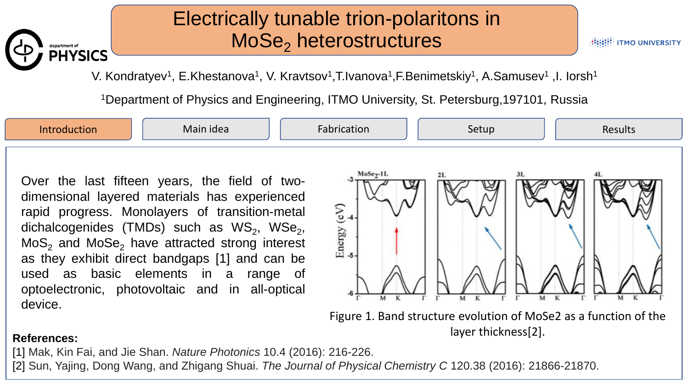## Electrically tunable trion-polaritons in MoSe<sub>2</sub> heterostructures

**HEEF! ITMO UNIVERSITY** 

V. Kondratyev<sup>1</sup>, E.Khestanova<sup>1</sup>, V. Kravtsov<sup>1</sup>,T.Ivanova<sup>1</sup>,F.Benimetskiy<sup>1</sup>, A.Samusev<sup>1</sup> ,I. Iorsh<sup>1</sup>

<sup>1</sup>Department of Physics and Engineering, ITMO University, St. Petersburg,197101, Russia



layer thickness[2].

## **References:**

department of<br>PHYSICS

[1] Mak, Kin Fai, and Jie Shan. *Nature Photonics* 10.4 (2016): 216-226.

[2] Sun, Yajing, Dong Wang, and Zhigang Shuai. *The Journal of Physical Chemistry C* 120.38 (2016): 21866-21870.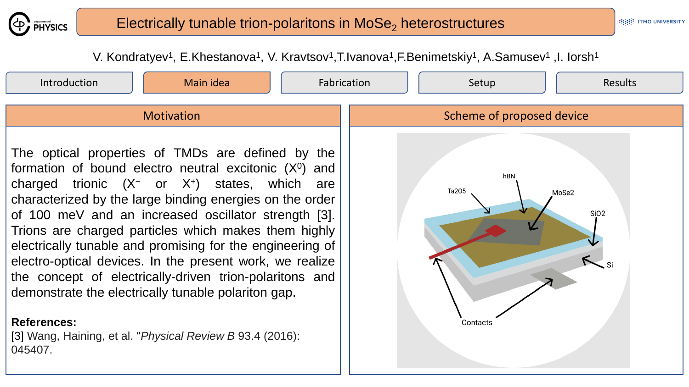

V. Kondratyev<sup>1</sup>, E.Khestanova<sup>1</sup>, V. Kravtsov<sup>1</sup>,T.Ivanova<sup>1</sup>,F.Benimetskiy<sup>1</sup>, A.Samusev<sup>1</sup>,I. Iorsh<sup>1</sup>

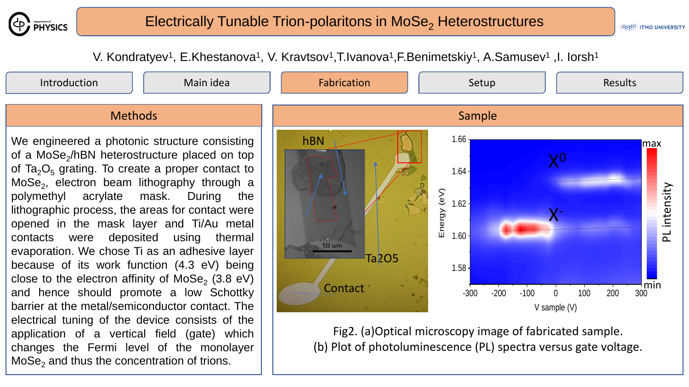

**HHHH ITMO UNIVERSITY** 

V. Kondratyev<sup>1</sup>, E.Khestanova<sup>1</sup>, V. Kravtsov<sup>1</sup>,T.Ivanova<sup>1</sup>,F.Benimetskiy<sup>1</sup>, A.Samusev<sup>1</sup>,I. Iorsh<sup>1</sup>

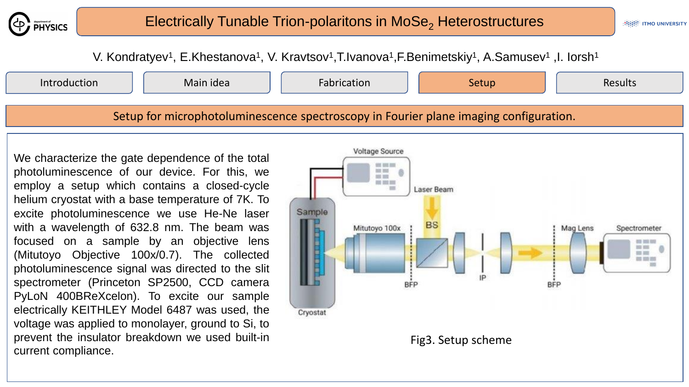

V. Kondratyev<sup>1</sup>, E.Khestanova<sup>1</sup>, V. Kravtsov<sup>1</sup>,T.Ivanova<sup>1</sup>,F.Benimetskiy<sup>1</sup>, A.Samusev<sup>1</sup>,I. Iorsh<sup>1</sup>



We characterize the gate dependence of the total photoluminescence of our device. For this, we employ a setup which contains a closed-cycle helium cryostat with a base temperature of 7K. To excite photoluminescence we use He-Ne laser with a wavelength of 632.8 nm. The beam was focused on a sample by an objective lens (Mitutoyo Objective 100x/0.7). The collected photoluminescence signal was directed to the slit spectrometer (Princeton SP2500, CCD camera PyLoN 400BReXcelon). To excite our sample electrically KEITHLEY Model 6487 was used, the voltage was applied to monolayer, ground to Si, to prevent the insulator breakdown we used built-in current compliance.